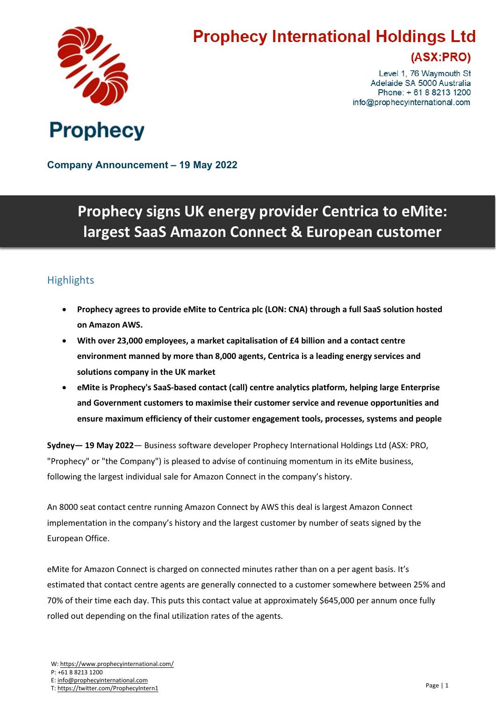

# **Prophecy International Holdings Ltd**

### (ASX:PRO)

Level 1, 76 Waymouth St Adelaide SA 5000 Australia Phone: +61882131200 info@prophecyinternational.com

**Company Announcement – 19 May 2022**

## **Prophecy signs UK energy provider Centrica to eMite: largest SaaS Amazon Connect & European customer**

#### **Highlights**

- **Prophecy agrees to provide eMite to Centrica plc (LON: CNA) through a full SaaS solution hosted on Amazon AWS.**
- **With over 23,000 employees, a market capitalisation of £4 billion and a contact centre environment manned by more than 8,000 agents, Centrica is a leading energy services and solutions company in the UK market**
- **eMite is Prophecy's SaaS-based contact (call) centre analytics platform, helping large Enterprise and Government customers to maximise their customer service and revenue opportunities and ensure maximum efficiency of their customer engagement tools, processes, systems and people**

**Sydney— 19 May 2022**— Business software developer Prophecy International Holdings Ltd (ASX: PRO, "Prophecy" or "the Company") is pleased to advise of continuing momentum in its eMite business, following the largest individual sale for Amazon Connect in the company's history.

An 8000 seat contact centre running Amazon Connect by AWS this deal is largest Amazon Connect implementation in the company's history and the largest customer by number of seats signed by the European Office.

eMite for Amazon Connect is charged on connected minutes rather than on a per agent basis. It's estimated that contact centre agents are generally connected to a customer somewhere between 25% and 70% of their time each day. This puts this contact value at approximately \$645,000 per annum once fully rolled out depending on the final utilization rates of the agents.

T: <https://twitter.com/ProphecyIntern1>

W: <https://www.prophecyinternational.com/>

P: +61 8 8213 1200

E: [info@prophecyinternational.com](mailto:info@prophecyinternational.com)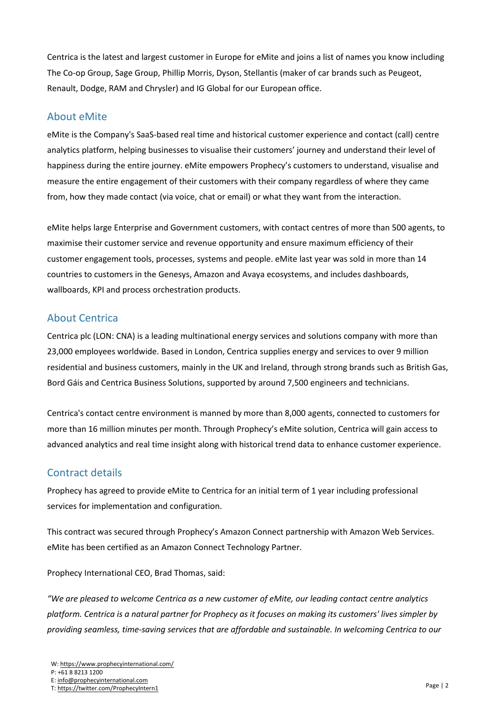Centrica is the latest and largest customer in Europe for eMite and joins a list of names you know including The Co-op Group, Sage Group, Phillip Morris, Dyson, Stellantis (maker of car brands such as Peugeot, Renault, Dodge, RAM and Chrysler) and IG Global for our European office.

#### About eMite

eMite is the Company's SaaS-based real time and historical customer experience and contact (call) centre analytics platform, helping businesses to visualise their customers' journey and understand their level of happiness during the entire journey. eMite empowers Prophecy's customers to understand, visualise and measure the entire engagement of their customers with their company regardless of where they came from, how they made contact (via voice, chat or email) or what they want from the interaction.

eMite helps large Enterprise and Government customers, with contact centres of more than 500 agents, to maximise their customer service and revenue opportunity and ensure maximum efficiency of their customer engagement tools, processes, systems and people. eMite last year was sold in more than 14 countries to customers in the Genesys, Amazon and Avaya ecosystems, and includes dashboards, wallboards, KPI and process orchestration products.

#### About Centrica

Centrica plc (LON: CNA) is a leading multinational energy services and solutions company with more than 23,000 employees worldwide. Based in London, Centrica supplies energy and services to over 9 million residential and business customers, mainly in the UK and Ireland, through strong brands such as British Gas, Bord Gáis and Centrica Business Solutions, supported by around 7,500 engineers and technicians.

Centrica's contact centre environment is manned by more than 8,000 agents, connected to customers for more than 16 million minutes per month. Through Prophecy's eMite solution, Centrica will gain access to advanced analytics and real time insight along with historical trend data to enhance customer experience.

#### Contract details

Prophecy has agreed to provide eMite to Centrica for an initial term of 1 year including professional services for implementation and configuration.

This contract was secured through Prophecy's Amazon Connect partnership with Amazon Web Services. eMite has been certified as an Amazon Connect Technology Partner.

Prophecy International CEO, Brad Thomas, said:

*"We are pleased to welcome Centrica as a new customer of eMite, our leading contact centre analytics* platform. Centrica is a natural partner for Prophecy as it focuses on making its customers' lives simpler by *providing seamless, time-saving services that are affordable and sustainable. In welcoming Centrica to our*

T: <https://twitter.com/ProphecyIntern1>

W: <https://www.prophecyinternational.com/>

P: +61 8 8213 1200

E: [info@prophecyinternational.com](mailto:info@prophecyinternational.com)